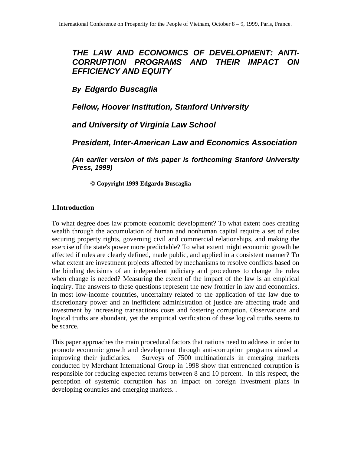# *THE LAW AND ECONOMICS OF DEVELOPMENT: ANTI-CORRUPTION PROGRAMS AND THEIR IMPACT ON EFFICIENCY AND EQUITY*

*By Edgardo Buscaglia*

*Fellow, Hoover Institution, Stanford University*

*and University of Virginia Law School*

*President, Inter-American Law and Economics Association*

*(An earlier version of this paper is forthcoming Stanford University Press, 1999)*

**© Copyright 1999 Edgardo Buscaglia**

## **1.Introduction**

To what degree does law promote economic development? To what extent does creating wealth through the accumulation of human and nonhuman capital require a set of rules securing property rights, governing civil and commercial relationships, and making the exercise of the state's power more predictable? To what extent might economic growth be affected if rules are clearly defined, made public, and applied in a consistent manner? To what extent are investment projects affected by mechanisms to resolve conflicts based on the binding decisions of an independent judiciary and procedures to change the rules when change is needed? Measuring the extent of the impact of the law is an empirical inquiry. The answers to these questions represent the new frontier in law and economics. In most low-income countries, uncertainty related to the application of the law due to discretionary power and an inefficient administration of justice are affecting trade and investment by increasing transactions costs and fostering corruption. Observations and logical truths are abundant, yet the empirical verification of these logical truths seems to be scarce.

This paper approaches the main procedural factors that nations need to address in order to promote economic growth and development through anti-corruption programs aimed at improving their judiciaries. Surveys of 7500 multinationals in emerging markets conducted by Merchant International Group in 1998 show that entrenched corruption is responsible for reducing expected returns between 8 and 10 percent. In this respect, the perception of systemic corruption has an impact on foreign investment plans in developing countries and emerging markets. .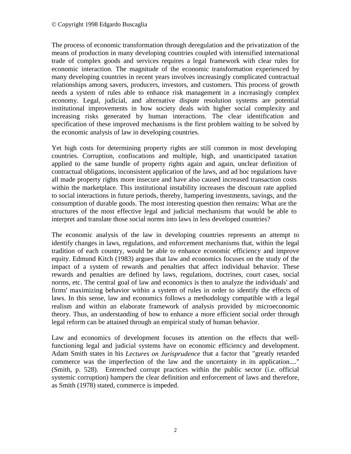The process of economic transformation through deregulation and the privatization of the means of production in many developing countries coupled with intensified international trade of complex goods and services requires a legal framework with clear rules for economic interaction. The magnitude of the economic transformation experienced by many developing countries in recent years involves increasingly complicated contractual relationships among savers, producers, investors, and customers. This process of growth needs a system of rules able to enhance risk management in a increasingly complex economy. Legal, judicial, and alternative dispute resolution systems are potential institutional improvements in how society deals with higher social complexity and increasing risks generated by human interactions. The clear identification and specification of these improved mechanisms is the first problem waiting to be solved by the economic analysis of law in developing countries.

Yet high costs for determining property rights are still common in most developing countries. Corruption, confiscations and multiple, high, and unanticipated taxation applied to the same bundle of property rights again and again, unclear definition of contractual obligations, inconsistent application of the laws, and ad hoc regulations have all made property rights more insecure and have also caused increased transaction costs within the marketplace. This institutional instability increases the discount rate applied to social interactions in future periods, thereby, hampering investments, savings, and the consumption of durable goods. The most interesting question then remains: What are the structures of the most effective legal and judicial mechanisms that would be able to interpret and translate those social norms into laws in less developed countries?

The economic analysis of the law in developing countries represents an attempt to identify changes in laws, regulations, and enforcement mechanisms that, within the legal tradition of each country, would be able to enhance economic efficiency and improve equity. Edmund Kitch (1983) argues that law and economics focuses on the study of the impact of a system of rewards and penalties that affect individual behavior. These rewards and penalties are defined by laws, regulations, doctrines, court cases, social norms, etc. The central goal of law and economics is then to analyze the individuals' and firms' maximizing behavior within a system of rules in order to identify the effects of laws. In this sense, law and economics follows a methodology compatible with a legal realism and within an elaborate framework of analysis provided by microeconomic theory. Thus, an understanding of how to enhance a more efficient social order through legal reform can be attained through an empirical study of human behavior.

Law and economics of development focuses its attention on the effects that wellfunctioning legal and judicial systems have on economic efficiency and development. Adam Smith states in his *Lectures on Jurisprudence* that a factor that "greatly retarded commerce was the imperfection of the law and the uncertainty in its application...." (Smith, p. 528). Entrenched corrupt practices within the public sector (i.e. official systemic corruption) hampers the clear definition and enforcement of laws and therefore, as Smith (1978) stated, commerce is impeded.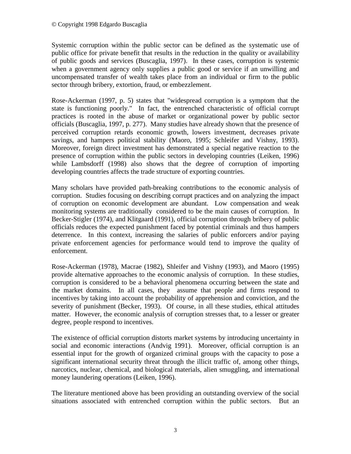Systemic corruption within the public sector can be defined as the systematic use of public office for private benefit that results in the reduction in the quality or availability of public goods and services (Buscaglia, 1997). In these cases, corruption is systemic when a government agency only supplies a public good or service if an unwilling and uncompensated transfer of wealth takes place from an individual or firm to the public sector through bribery, extortion, fraud, or embezzlement.

Rose-Ackerman (1997, p. 5) states that "widespread corruption is a symptom that the state is functioning poorly." In fact, the entrenched characteristic of official corrupt practices is rooted in the abuse of market or organizational power by public sector officials (Buscaglia, 1997, p. 277). Many studies have already shown that the presence of perceived corruption retards economic growth, lowers investment, decreases private savings, and hampers political stability (Maoro, 1995; Schleifer and Vishny, 1993). Moreover, foreign direct investment has demonstrated a special negative reaction to the presence of corruption within the public sectors in developing countries (Leiken, 1996) while Lambsdorff (1998) also shows that the degree of corruption of importing developing countries affects the trade structure of exporting countries.

Many scholars have provided path-breaking contributions to the economic analysis of corruption. Studies focusing on describing corrupt practices and on analyzing the impact of corruption on economic development are abundant. Low compensation and weak monitoring systems are traditionally considered to be the main causes of corruption. In Becker-Stigler (1974), and Klitgaard (1991), official corruption through bribery of public officials reduces the expected punishment faced by potential criminals and thus hampers deterrence. In this context, increasing the salaries of public enforcers and/or paying private enforcement agencies for performance would tend to improve the quality of enforcement.

Rose-Ackerman (1978), Macrae (1982), Shleifer and Vishny (1993), and Maoro (1995) provide alternative approaches to the economic analysis of corruption. In these studies, corruption is considered to be a behavioral phenomena occurring between the state and the market domains. In all cases, they assume that people and firms respond to incentives by taking into account the probability of apprehension and conviction, and the severity of punishment (Becker, 1993). Of course, in all these studies, ethical attitudes matter. However, the economic analysis of corruption stresses that, to a lesser or greater degree, people respond to incentives.

The existence of official corruption distorts market systems by introducing uncertainty in social and economic interactions (Andvig 1991). Moreover, official corruption is an essential input for the growth of organized criminal groups with the capacity to pose a significant international security threat through the illicit traffic of, among other things, narcotics, nuclear, chemical, and biological materials, alien smuggling, and international money laundering operations (Leiken, 1996).

The literature mentioned above has been providing an outstanding overview of the social situations associated with entrenched corruption within the public sectors. But an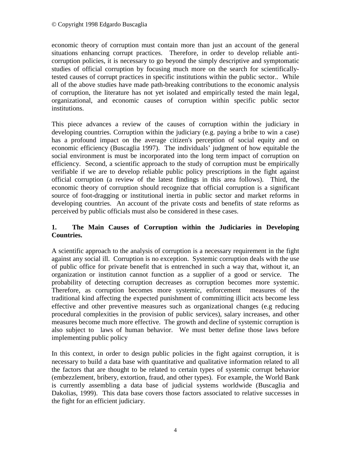economic theory of corruption must contain more than just an account of the general situations enhancing corrupt practices. Therefore, in order to develop reliable anticorruption policies, it is necessary to go beyond the simply descriptive and symptomatic studies of official corruption by focusing much more on the search for scientificallytested causes of corrupt practices in specific institutions within the public sector.. While all of the above studies have made path-breaking contributions to the economic analysis of corruption, the literature has not yet isolated and empirically tested the main legal, organizational, and economic causes of corruption within specific public sector institutions.

This piece advances a review of the causes of corruption within the judiciary in developing countries. Corruption within the judiciary (e.g. paying a bribe to win a case) has a profound impact on the average citizen's perception of social equity and on economic efficiency (Buscaglia 1997). The individuals' judgment of how equitable the social environment is must be incorporated into the long term impact of corruption on efficiency. Second, a scientific approach to the study of corruption must be empirically verifiable if we are to develop reliable public policy prescriptions in the fight against official corruption (a review of the latest findings in this area follows). Third, the economic theory of corruption should recognize that official corruption is a significant source of foot-dragging or institutional inertia in public sector and market reforms in developing countries. An account of the private costs and benefits of state reforms as perceived by public officials must also be considered in these cases.

## **1. The Main Causes of Corruption within the Judiciaries in Developing Countries.**

A scientific approach to the analysis of corruption is a necessary requirement in the fight against any social ill. Corruption is no exception. Systemic corruption deals with the use of public office for private benefit that is entrenched in such a way that, without it, an organization or institution cannot function as a supplier of a good or service. The probability of detecting corruption decreases as corruption becomes more systemic. Therefore, as corruption becomes more systemic, enforcement measures of the traditional kind affecting the expected punishment of committing illicit acts become less effective and other preventive measures such as organizational changes (e.g reducing procedural complexities in the provision of public services), salary increases, and other measures become much more effective. The growth and decline of systemic corruption is also subject to laws of human behavior. We must better define those laws before implementing public policy

In this context, in order to design public policies in the fight against corruption, it is necessary to build a data base with quantitative and qualitative information related to all the factors that are thought to be related to certain types of systemic corrupt behavior (embezzlement, bribery, extortion, fraud, and other types). For example, the World Bank is currently assembling a data base of judicial systems worldwide (Buscaglia and Dakolias, 1999). This data base covers those factors associated to relative successes in the fight for an efficient judiciary.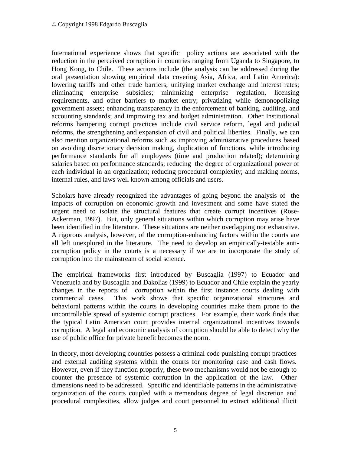International experience shows that specific policy actions are associated with the reduction in the perceived corruption in countries ranging from Uganda to Singapore, to Hong Kong, to Chile. These actions include (the analysis can be addressed during the oral presentation showing empirical data covering Asia, Africa, and Latin America): lowering tariffs and other trade barriers; unifying market exchange and interest rates; eliminating enterprise subsidies; minimizing enterprise regulation, licensing requirements, and other barriers to market entry; privatizing while demonopolizing government assets; enhancing transparency in the enforcement of banking, auditing, and accounting standards; and improving tax and budget administration. Other Institutional reforms hampering corrupt practices include civil service reform, legal and judicial reforms, the strengthening and expansion of civil and political liberties. Finally, we can also mention organizational reforms such as improving administrative procedures based on avoiding discretionary decision making, duplication of functions, while introducing performance standards for all employees (time and production related); determining salaries based on performance standards; reducing the degree of organizational power of each individual in an organization; reducing procedural complexity; and making norms, internal rules, and laws well known among officials and users.

Scholars have already recognized the advantages of going beyond the analysis of the impacts of corruption on economic growth and investment and some have stated the urgent need to isolate the structural features that create corrupt incentives (Rose-Ackerman, 1997). But, only general situations within which corruption may arise have been identified in the literature. These situations are neither overlapping nor exhaustive. A rigorous analysis, however, of the corruption-enhancing factors within the courts are all left unexplored in the literature. The need to develop an empirically-testable anticorruption policy in the courts is a necessary if we are to incorporate the study of corruption into the mainstream of social science.

The empirical frameworks first introduced by Buscaglia (1997) to Ecuador and Venezuela and by Buscaglia and Dakolias (1999) to Ecuador and Chile explain the yearly changes in the reports of corruption within the first instance courts dealing with commercial cases. This work shows that specific organizational structures and behavioral patterns within the courts in developing countries make them prone to the uncontrollable spread of systemic corrupt practices. For example, their work finds that the typical Latin American court provides internal organizational incentives towards corruption. A legal and economic analysis of corruption should be able to detect why the use of public office for private benefit becomes the norm.

In theory, most developing countries possess a criminal code punishing corrupt practices and external auditing systems within the courts for monitoring case and cash flows. However, even if they function properly, these two mechanisms would not be enough to counter the presence of systemic corruption in the application of the law. Other dimensions need to be addressed. Specific and identifiable patterns in the administrative organization of the courts coupled with a tremendous degree of legal discretion and procedural complexities, allow judges and court personnel to extract additional illicit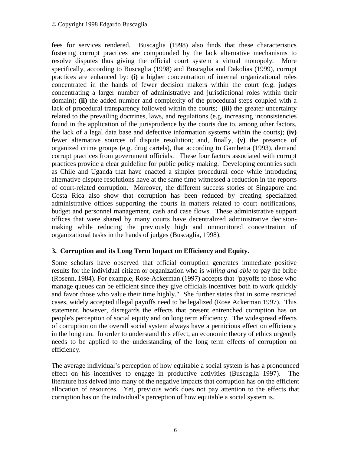fees for services rendered. Buscaglia (1998) also finds that these characteristics fostering corrupt practices are compounded by the lack alternative mechanisms to resolve disputes thus giving the official court system a virtual monopoly. More specifically, according to Buscaglia (1998) and Buscaglia and Dakolias (1999), corrupt practices are enhanced by: **(i)** a higher concentration of internal organizational roles concentrated in the hands of fewer decision makers within the court (e.g. judges concentrating a larger number of administrative and jurisdictional roles within their domain); **(ii)** the added number and complexity of the procedural steps coupled with a lack of procedural transparency followed within the courts; **(iii)** the greater uncertainty related to the prevailing doctrines, laws, and regulations (e.g. increasing inconsistencies found in the application of the jurisprudence by the courts due to, among other factors, the lack of a legal data base and defective information systems within the courts); **(iv)** fewer alternative sources of dispute resolution; and, finally, **(v)** the presence of organized crime groups (e.g. drug cartels), that according to Gambetta (1993), demand corrupt practices from government officials. These four factors associated with corrupt practices provide a clear guideline for public policy making. Developing countries such as Chile and Uganda that have enacted a simpler procedural code while introducing alternative dispute resolutions have at the same time witnessed a reduction in the reports of court-related corruption. Moreover, the different success stories of Singapore and Costa Rica also show that corruption has been reduced by creating specialized administrative offices supporting the courts in matters related to court notifications, budget and personnel management, cash and case flows. These administrative support offices that were shared by many courts have decentralized administrative decisionmaking while reducing the previously high and unmonitored concentration of organizational tasks in the hands of judges (Buscaglia, 1998).

### **3. Corruption and its Long Term Impact on Efficiency and Equity.**

Some scholars have observed that official corruption generates immediate positive results for the individual citizen or organization who is *willing and able* to pay the bribe (Rosenn, 1984). For example, Rose-Ackerman (1997) accepts that "payoffs to those who manage queues can be efficient since they give officials incentives both to work quickly and favor those who value their time highly." She further states that in some restricted cases, widely accepted illegal payoffs need to be legalized (Rose Ackerman 1997). This statement, however, disregards the effects that present entrenched corruption has on people's perception of social equity and on long term efficiency. The widespread effects of corruption on the overall social system always have a pernicious effect on efficiency in the long run. In order to understand this effect, an economic theory of ethics urgently needs to be applied to the understanding of the long term effects of corruption on efficiency.

The average individual's perception of how equitable a social system is has a pronounced effect on his incentives to engage in productive activities (Buscaglia 1997). The literature has delved into many of the negative impacts that corruption has on the efficient allocation of resources. Yet, previous work does not pay attention to the effects that corruption has on the individual's perception of how equitable a social system is.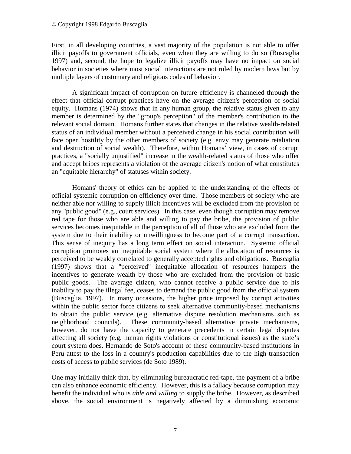#### © Copyright 1998 Edgardo Buscaglia

First, in all developing countries, a vast majority of the population is not able to offer illicit payoffs to government officials, even when they are willing to do so (Buscaglia 1997) and, second, the hope to legalize illicit payoffs may have no impact on social behavior in societies where most social interactions are not ruled by modern laws but by multiple layers of customary and religious codes of behavior.

A significant impact of corruption on future efficiency is channeled through the effect that official corrupt practices have on the average citizen's perception of social equity. Homans (1974) shows that in any human group, the relative status given to any member is determined by the "group's perception" of the member's contribution to the relevant social domain. Homans further states that changes in the relative wealth-related status of an individual member without a perceived change in his social contribution will face open hostility by the other members of society (e.g. envy may generate retaliation and destruction of social wealth). Therefore, within Homans' view, in cases of corrupt practices, a "socially unjustified" increase in the wealth-related status of those who offer and accept bribes represents a violation of the average citizen's notion of what constitutes an "equitable hierarchy" of statuses within society.

Homans' theory of ethics can be applied to the understanding of the effects of official systemic corruption on efficiency over time. Those members of society who are neither able nor willing to supply illicit incentives will be excluded from the provision of any "public good" (e.g., court services). In this case. even though corruption may remove red tape for those who are able and willing to pay the bribe, the provision of public services becomes inequitable in the perception of all of those who are excluded from the system due to their inability or unwillingness to become part of a corrupt transaction. This sense of inequity has a long term effect on social interaction. Systemic official corruption promotes an inequitable social system where the allocation of resources is perceived to be weakly correlated to generally accepted rights and obligations. Buscaglia (1997) shows that a "perceived" inequitable allocation of resources hampers the incentives to generate wealth by those who are excluded from the provision of basic public goods. The average citizen, who cannot receive a public service due to his inability to pay the illegal fee, ceases to demand the public good from the official system (Buscaglia, 1997). In many occasions, the higher price imposed by corrupt activities within the public sector force citizens to seek alternative community-based mechanisms to obtain the public service (e.g. alternative dispute resolution mechanisms such as neighborhood councils). These community-based alternative private mechanisms, however, do not have the capacity to generate precedents in certain legal disputes affecting all society (e.g. human rights violations or constitutional issues) as the state's court system does. Hernando de Soto's account of these community-based institutions in Peru attest to the loss in a country's production capabilities due to the high transaction costs of access to public services (de Soto 1989).

One may initially think that, by eliminating bureaucratic red-tape, the payment of a bribe can also enhance economic efficiency. However, this is a fallacy because corruption may benefit the individual who is *able and willing* to supply the bribe. However, as described above, the social environment is negatively affected by a diminishing economic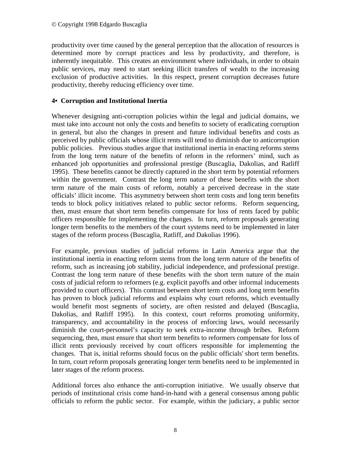productivity over time caused by the general perception that the allocation of resources is determined more by corrupt practices and less by productivity, and therefore, is inherently inequitable. This creates an environment where individuals, in order to obtain public services, may need to start seeking illicit transfers of wealth to the increasing exclusion of productive activities. In this respect, present corruption decreases future productivity, thereby reducing efficiency over time.

### **4• Corruption and Institutional Inertia**

Whenever designing anti-corruption policies within the legal and judicial domains, we must take into account not only the costs and benefits to society of eradicating corruption in general, but also the changes in present and future individual benefits and costs as perceived by public officials whose illicit rents will tend to diminish due to anticorruption public policies. Previous studies argue that institutional inertia in enacting reforms stems from the long term nature of the benefits of reform in the reformers' mind, such as enhanced job opportunities and professional prestige (Buscaglia, Dakolias, and Ratliff 1995). These benefits cannot be directly captured in the short term by potential reformers within the government. Contrast the long term nature of these benefits with the short term nature of the main costs of reform, notably a perceived decrease in the state officials' illicit income. This asymmetry between short term costs and long term benefits tends to block policy initiatives related to public sector reforms. Reform sequencing, then, must ensure that short term benefits compensate for loss of rents faced by public officers responsible for implementing the changes. In turn, reform proposals generating longer term benefits to the members of the court systems need to be implemented in later stages of the reform process (Buscaglia, Ratliff, and Dakolias 1996).

For example, previous studies of judicial reforms in Latin America argue that the institutional inertia in enacting reform stems from the long term nature of the benefits of reform, such as increasing job stability, judicial independence, and professional prestige. Contrast the long term nature of these benefits with the short term nature of the main costs of judicial reform to reformers (e.g. explicit payoffs and other informal inducements provided to court officers). This contrast between short term costs and long term benefits has proven to block judicial reforms and explains why court reforms, which eventually would benefit most segments of society, are often resisted and delayed (Buscaglia, Dakolias, and Ratliff 1995). In this context, court reforms promoting uniformity, transparency, and accountability in the process of enforcing laws, would necessarily diminish the court-personnel's capacity to seek extra-income through bribes. Reform sequencing, then, must ensure that short term benefits to reformers compensate for loss of illicit rents previously received by court officers responsible for implementing the changes. That is, initial reforms should focus on the public officials' short term benefits. In turn, court reform proposals generating longer term benefits need to be implemented in later stages of the reform process.

Additional forces also enhance the anti-corruption initiative. We usually observe that periods of institutional crisis come hand-in-hand with a general consensus among public officials to reform the public sector. For example, within the judiciary, a public sector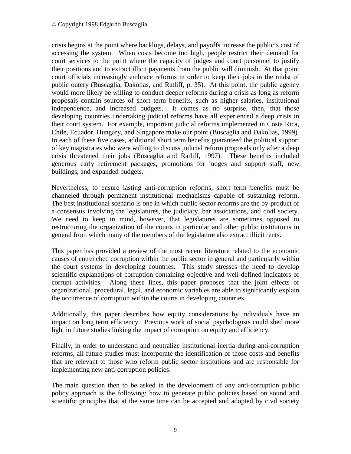crisis begins at the point where backlogs, delays, and payoffs increase the public's cost of accessing the system. When costs become too high, people restrict their demand for court services to the point where the capacity of judges and court personnel to justify their positions and to extract illicit payments from the public will diminish. At that point court officials increasingly embrace reforms in order to keep their jobs in the midst of public outcry (Buscaglia, Dakolias, and Ratliff, p. 35). At this point, the public agency would more likely be willing to conduct deeper reforms during a crisis as long as reform proposals contain sources of short term benefits, such as higher salaries, institutional independence, and increased budgets. It comes as no surprise, then, that those developing countries undertaking judicial reforms have all experienced a deep crisis in their court system. For example, important judicial reforms implemented in Costa Rica, Chile, Ecuador, Hungary, and Singapore make our point (Buscaglia and Dakolias, 1999). In each of these five cases, additional short term benefits guaranteed the political support of key magistrates who were willing to discuss judicial reform proposals only after a deep crisis threatened their jobs (Buscaglia and Ratliff, 1997). These benefits included generous early retirement packages, promotions for judges and support staff, new buildings, and expanded budgets.

Nevertheless, to ensure lasting anti-corruption reforms, short term benefits must be channeled through permanent institutional mechanisms capable of sustaining reform. The best institutional scenario is one in which public sector reforms are the by-product of a consensus involving the legislatures, the judiciary, bar associations, and civil society. We need to keep in mind, however, that legislatures are sometimes opposed to restructuring the organization of the courts in particular and other public institutions in general from which many of the members of the legislature also extract illicit rents.

This paper has provided a review of the most recent literature related to the economic causes of entrenched corruption within the public sector in general and particularly within the court systems in developing countries. This study stresses the need to develop scientific explanations of corruption containing objective and well-defined indicators of corrupt activities. Along these lines, this paper proposes that the joint effects of organizational, procedural, legal, and economic variables are able to significantly explain the occurrence of corruption within the courts in developing countries.

Additionally, this paper describes how equity considerations by individuals have an impact on long term efficiency. Previous work of social psychologists could shed more light in future studies linking the impact of corruption on equity and efficiency.

Finally, in order to understand and neutralize institutional inertia during anti-corruption reforms, all future studies must incorporate the identification of those costs and benefits that are relevant to those who reform public sector institutions and are responsible for implementing new anti-corruption policies.

The main question then to be asked in the development of any anti-corruption public policy approach is the following: how to generate public policies based on sound and scientific principles that at the same time can be accepted and adopted by civil society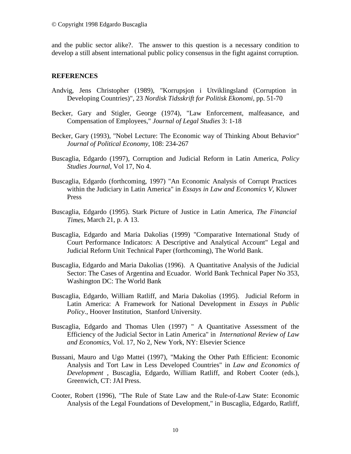and the public sector alike?. The answer to this question is a necessary condition to develop a still absent international public policy consensus in the fight against corruption.

### **REFERENCES**

- Andvig, Jens Christopher (1989), "Korrupsjon i Utviklingsland (Corruption in Developing Countries)", 23 *Nordisk Tidsskrift for Politisk Ekonomi*, pp. 51-70
- Becker, Gary and Stigler, George (1974), "Law Enforcement, malfeasance, and Compensation of Employees," *Journal of Legal Studies* 3: 1-18
- Becker, Gary (1993), "Nobel Lecture: The Economic way of Thinking About Behavior" *Journal of Political Economy*, 108: 234-267
- Buscaglia, Edgardo (1997), Corruption and Judicial Reform in Latin America, *Policy Studies Journal*, Vol 17, No 4.
- Buscaglia, Edgardo (forthcoming, 1997) "An Economic Analysis of Corrupt Practices within the Judiciary in Latin America" in *Essays in Law and Economics V*, Kluwer Press
- Buscaglia, Edgardo (1995). Stark Picture of Justice in Latin America, *The Financial Times*, March 21, p. A 13.
- Buscaglia, Edgardo and Maria Dakolias (1999) "Comparative International Study of Court Performance Indicators: A Descriptive and Analytical Account" Legal and Judicial Reform Unit Technical Paper (forthcoming), The World Bank.
- Buscaglia, Edgardo and Maria Dakolias (1996). A Quantitative Analysis of the Judicial Sector: The Cases of Argentina and Ecuador. World Bank Technical Paper No 353, Washington DC: The World Bank
- Buscaglia, Edgardo, William Ratliff, and Maria Dakolias (1995). Judicial Reform in Latin America: A Framework for National Development in *Essays in Public Policy*., Hoover Institution, Stanford University.
- Buscaglia, Edgardo and Thomas Ulen (1997) " A Quantitative Assessment of the Efficiency of the Judicial Sector in Latin America" in *International Review of Law and Economics*, Vol. 17, No 2, New York, NY: Elsevier Science
- Bussani, Mauro and Ugo Mattei (1997), "Making the Other Path Efficient: Economic Analysis and Tort Law in Less Developed Countries" in *Law and Economics of Development* , Buscaglia, Edgardo, William Ratliff, and Robert Cooter (eds.), Greenwich, CT: JAI Press.
- Cooter, Robert (1996), "The Rule of State Law and the Rule-of-Law State: Economic Analysis of the Legal Foundations of Development," in Buscaglia, Edgardo, Ratliff,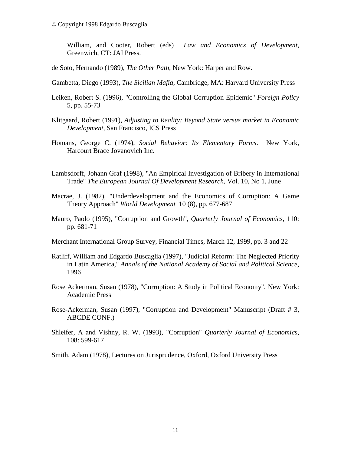William, and Cooter, Robert (eds) *Law and Economics of Development*, Greenwich, CT: JAI Press.

- de Soto, Hernando (1989), *The Other Path*, New York: Harper and Row.
- Gambetta, Diego (1993), *The Sicilian Mafia*, Cambridge, MA: Harvard University Press
- Leiken, Robert S. (1996), "Controlling the Global Corruption Epidemic" *Foreign Policy* 5, pp. 55-73
- Klitgaard, Robert (1991), *Adjusting to Reality: Beyond State versus market in Economic Development*, San Francisco, ICS Press
- Homans, George C. (1974), *Social Behavior: Its Elementary Forms*. New York, Harcourt Brace Jovanovich Inc.
- Lambsdorff, Johann Graf (1998), "An Empirical Investigation of Bribery in International Trade" *The European Journal Of Development Research*, Vol. 10, No 1, June
- Macrae, J. (1982), "Underdevelopment and the Economics of Corruption: A Game Theory Approach" *World Development* 10 (8), pp. 677-687
- Mauro, Paolo (1995), "Corruption and Growth", *Quarterly Journal of Economics,* 110: pp. 681-71
- Merchant International Group Survey, Financial Times, March 12, 1999, pp. 3 and 22
- Ratliff, William and Edgardo Buscaglia (1997), "Judicial Reform: The Neglected Priority in Latin America," *Annals of the National Academy of Social and Political Science,* 1996
- Rose Ackerman, Susan (1978), "Corruption: A Study in Political Economy", New York: Academic Press
- Rose-Ackerman, Susan (1997), "Corruption and Development" Manuscript (Draft # 3, ABCDE CONF.)
- Shleifer, A and Vishny, R. W. (1993), "Corruption" *Quarterly Journal of Economics*, 108: 599-617
- Smith, Adam (1978), Lectures on Jurisprudence, Oxford, Oxford University Press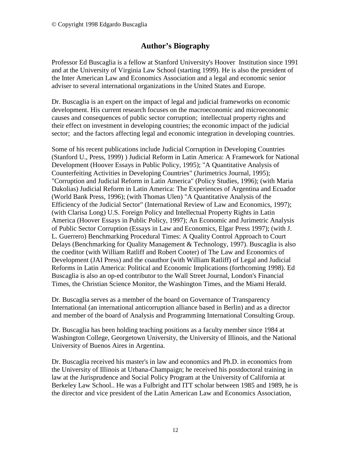# **Author's Biography**

Professor Ed Buscaglia is a fellow at Stanford University's Hoover Institution since 1991 and at the University of Virginia Law School (starting 1999). He is also the president of the Inter American Law and Economics Association and a legal and economic senior adviser to several international organizations in the United States and Europe.

Dr. Buscaglia is an expert on the impact of legal and judicial frameworks on economic development. His current research focuses on the macroeconomic and microeconomic causes and consequences of public sector corruption; intellectual property rights and their effect on investment in developing countries; the economic impact of the judicial sector; and the factors affecting legal and economic integration in developing countries.

Some of his recent publications include Judicial Corruption in Developing Countries (Stanford U., Press, 1999) ) Judicial Reform in Latin America: A Framework for National Development (Hoover Essays in Public Policy, 1995); "A Quantitative Analysis of Counterfeiting Activities in Developing Countries" (Jurimetrics Journal, 1995); "Corruption and Judicial Reform in Latin America" (Policy Studies, 1996); (with Maria Dakolias) Judicial Reform in Latin America: The Experiences of Argentina and Ecuador (World Bank Press, 1996); (with Thomas Ulen) "A Quantitative Analysis of the Efficiency of the Judicial Sector" (International Review of Law and Economics, 1997); (with Clarisa Long) U.S. Foreign Policy and Intellectual Property Rights in Latin America (Hoover Essays in Public Policy, 1997); An Economic and Jurimetric Analysis of Public Sector Corruption (Essays in Law and Economics, Elgar Press 1997); (with J. L. Guerrero) Benchmarking Procedural Times: A Quality Control Approach to Court Delays (Benchmarking for Quality Management & Technology, 1997). Buscaglia is also the coeditor (with William Ratliff and Robert Cooter) of The Law and Economics of Development (JAI Press) and the coauthor (with William Ratliff) of Legal and Judicial Reforms in Latin America: Political and Economic Implications (forthcoming 1998). Ed Buscaglia is also an op-ed contributor to the Wall Street Journal, London's Financial Times, the Christian Science Monitor, the Washington Times, and the Miami Herald.

Dr. Buscaglia serves as a member of the board on Governance of Transparency International (an international anticorruption alliance based in Berlin) and as a director and member of the board of Analysis and Programming International Consulting Group.

Dr. Buscaglia has been holding teaching positions as a faculty member since 1984 at Washington College, Georgetown University, the University of Illinois, and the National University of Buenos Aires in Argentina.

Dr. Buscaglia received his master's in law and economics and Ph.D. in economics from the University of Illinois at Urbana-Champaign; he received his postdoctoral training in law at the Jurisprudence and Social Policy Program at the University of California at Berkeley Law School.. He was a Fulbright and ITT scholar between 1985 and 1989, he is the director and vice president of the Latin American Law and Economics Association,